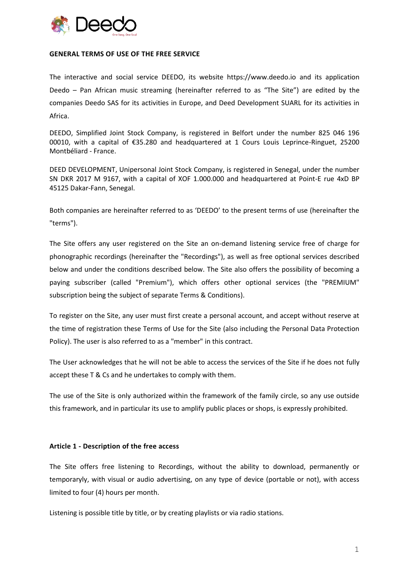

#### **GENERAL TERMS OF USE OF THE FREE SERVICE**

The interactive and social service DEEDO, its website https://www.deedo.io and its application Deedo – Pan African music streaming (hereinafter referred to as "The Site") are edited by the companies Deedo SAS for its activities in Europe, and Deed Development SUARL for its activities in Africa.

DEEDO, Simplified Joint Stock Company, is registered in Belfort under the number 825 046 196 00010, with a capital of €35.280 and headquartered at 1 Cours Louis Leprince-Ringuet, 25200 Montbéliard - France.

DEED DEVELOPMENT, Unipersonal Joint Stock Company, is registered in Senegal, under the number SN DKR 2017 M 9167, with a capital of XOF 1.000.000 and headquartered at Point-E rue 4xD BP 45125 Dakar-Fann, Senegal.

Both companies are hereinafter referred to as 'DEEDO' to the present terms of use (hereinafter the "terms").

The Site offers any user registered on the Site an on-demand listening service free of charge for phonographic recordings (hereinafter the "Recordings"), as well as free optional services described below and under the conditions described below. The Site also offers the possibility of becoming a paying subscriber (called "Premium"), which offers other optional services (the "PREMIUM" subscription being the subject of separate Terms & Conditions).

To register on the Site, any user must first create a personal account, and accept without reserve at the time of registration these Terms of Use for the Site (also including the Personal Data Protection Policy). The user is also referred to as a "member" in this contract.

The User acknowledges that he will not be able to access the services of the Site if he does not fully accept these T & Cs and he undertakes to comply with them.

The use of the Site is only authorized within the framework of the family circle, so any use outside this framework, and in particular its use to amplify public places or shops, is expressly prohibited.

## **Article 1 - Description of the free access**

The Site offers free listening to Recordings, without the ability to download, permanently or temporaryly, with visual or audio advertising, on any type of device (portable or not), with access limited to four (4) hours per month.

Listening is possible title by title, or by creating playlists or via radio stations.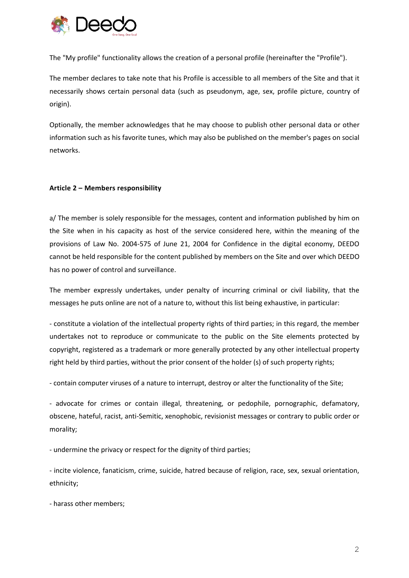

The "My profile" functionality allows the creation of a personal profile (hereinafter the "Profile").

The member declares to take note that his Profile is accessible to all members of the Site and that it necessarily shows certain personal data (such as pseudonym, age, sex, profile picture, country of origin).

Optionally, the member acknowledges that he may choose to publish other personal data or other information such as his favorite tunes, which may also be published on the member's pages on social networks.

## **Article 2 – Members responsibility**

a/ The member is solely responsible for the messages, content and information published by him on the Site when in his capacity as host of the service considered here, within the meaning of the provisions of Law No. 2004-575 of June 21, 2004 for Confidence in the digital economy, DEEDO cannot be held responsible for the content published by members on the Site and over which DEEDO has no power of control and surveillance.

The member expressly undertakes, under penalty of incurring criminal or civil liability, that the messages he puts online are not of a nature to, without this list being exhaustive, in particular:

- constitute a violation of the intellectual property rights of third parties; in this regard, the member undertakes not to reproduce or communicate to the public on the Site elements protected by copyright, registered as a trademark or more generally protected by any other intellectual property right held by third parties, without the prior consent of the holder (s) of such property rights;

- contain computer viruses of a nature to interrupt, destroy or alter the functionality of the Site;

- advocate for crimes or contain illegal, threatening, or pedophile, pornographic, defamatory, obscene, hateful, racist, anti-Semitic, xenophobic, revisionist messages or contrary to public order or morality;

- undermine the privacy or respect for the dignity of third parties;

- incite violence, fanaticism, crime, suicide, hatred because of religion, race, sex, sexual orientation, ethnicity;

- harass other members;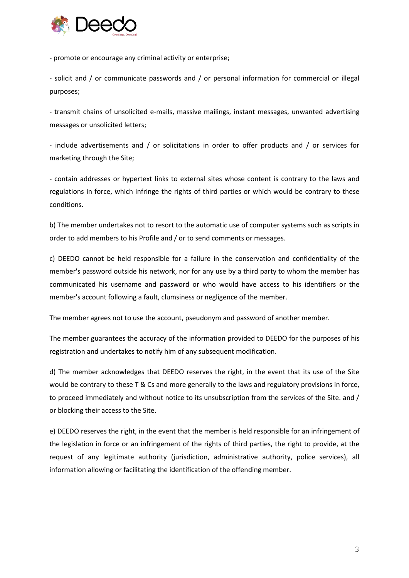

- promote or encourage any criminal activity or enterprise;

- solicit and / or communicate passwords and / or personal information for commercial or illegal purposes;

- transmit chains of unsolicited e-mails, massive mailings, instant messages, unwanted advertising messages or unsolicited letters;

- include advertisements and / or solicitations in order to offer products and / or services for marketing through the Site;

- contain addresses or hypertext links to external sites whose content is contrary to the laws and regulations in force, which infringe the rights of third parties or which would be contrary to these conditions.

b) The member undertakes not to resort to the automatic use of computer systems such as scripts in order to add members to his Profile and / or to send comments or messages.

c) DEEDO cannot be held responsible for a failure in the conservation and confidentiality of the member's password outside his network, nor for any use by a third party to whom the member has communicated his username and password or who would have access to his identifiers or the member's account following a fault, clumsiness or negligence of the member.

The member agrees not to use the account, pseudonym and password of another member.

The member guarantees the accuracy of the information provided to DEEDO for the purposes of his registration and undertakes to notify him of any subsequent modification.

d) The member acknowledges that DEEDO reserves the right, in the event that its use of the Site would be contrary to these T & Cs and more generally to the laws and regulatory provisions in force, to proceed immediately and without notice to its unsubscription from the services of the Site. and / or blocking their access to the Site.

e) DEEDO reserves the right, in the event that the member is held responsible for an infringement of the legislation in force or an infringement of the rights of third parties, the right to provide, at the request of any legitimate authority (jurisdiction, administrative authority, police services), all information allowing or facilitating the identification of the offending member.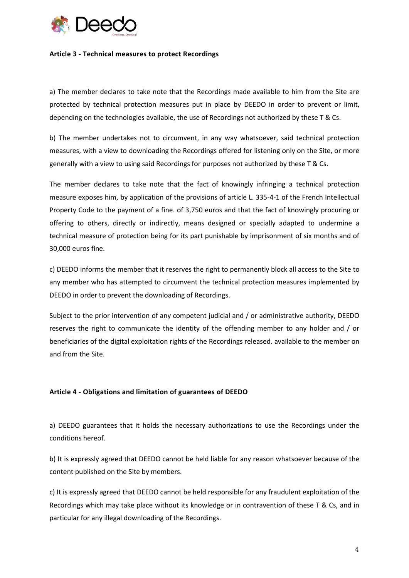

#### **Article 3 - Technical measures to protect Recordings**

a) The member declares to take note that the Recordings made available to him from the Site are protected by technical protection measures put in place by DEEDO in order to prevent or limit, depending on the technologies available, the use of Recordings not authorized by these T & Cs.

b) The member undertakes not to circumvent, in any way whatsoever, said technical protection measures, with a view to downloading the Recordings offered for listening only on the Site, or more generally with a view to using said Recordings for purposes not authorized by these T & Cs.

The member declares to take note that the fact of knowingly infringing a technical protection measure exposes him, by application of the provisions of article L. 335-4-1 of the French Intellectual Property Code to the payment of a fine. of 3,750 euros and that the fact of knowingly procuring or offering to others, directly or indirectly, means designed or specially adapted to undermine a technical measure of protection being for its part punishable by imprisonment of six months and of 30,000 euros fine.

c) DEEDO informs the member that it reserves the right to permanently block all access to the Site to any member who has attempted to circumvent the technical protection measures implemented by DEEDO in order to prevent the downloading of Recordings.

Subject to the prior intervention of any competent judicial and / or administrative authority, DEEDO reserves the right to communicate the identity of the offending member to any holder and / or beneficiaries of the digital exploitation rights of the Recordings released. available to the member on and from the Site.

# **Article 4 - Obligations and limitation of guarantees of DEEDO**

a) DEEDO guarantees that it holds the necessary authorizations to use the Recordings under the conditions hereof.

b) It is expressly agreed that DEEDO cannot be held liable for any reason whatsoever because of the content published on the Site by members.

c) It is expressly agreed that DEEDO cannot be held responsible for any fraudulent exploitation of the Recordings which may take place without its knowledge or in contravention of these T & Cs, and in particular for any illegal downloading of the Recordings.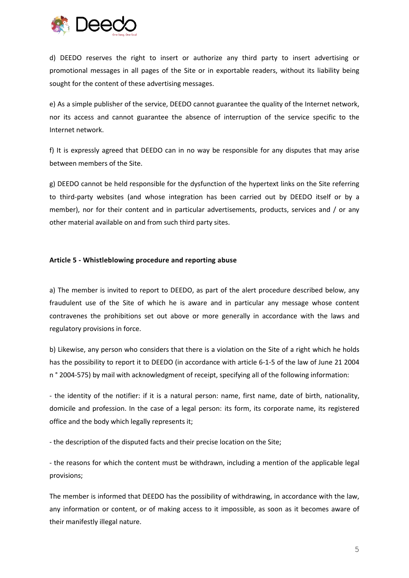

d) DEEDO reserves the right to insert or authorize any third party to insert advertising or promotional messages in all pages of the Site or in exportable readers, without its liability being sought for the content of these advertising messages.

e) As a simple publisher of the service, DEEDO cannot guarantee the quality of the Internet network, nor its access and cannot guarantee the absence of interruption of the service specific to the Internet network.

f) It is expressly agreed that DEEDO can in no way be responsible for any disputes that may arise between members of the Site.

g) DEEDO cannot be held responsible for the dysfunction of the hypertext links on the Site referring to third-party websites (and whose integration has been carried out by DEEDO itself or by a member), nor for their content and in particular advertisements, products, services and / or any other material available on and from such third party sites.

## **Article 5 - Whistleblowing procedure and reporting abuse**

a) The member is invited to report to DEEDO, as part of the alert procedure described below, any fraudulent use of the Site of which he is aware and in particular any message whose content contravenes the prohibitions set out above or more generally in accordance with the laws and regulatory provisions in force.

b) Likewise, any person who considers that there is a violation on the Site of a right which he holds has the possibility to report it to DEEDO (in accordance with article 6-1-5 of the law of June 21 2004 n ° 2004-575) by mail with acknowledgment of receipt, specifying all of the following information:

- the identity of the notifier: if it is a natural person: name, first name, date of birth, nationality, domicile and profession. In the case of a legal person: its form, its corporate name, its registered office and the body which legally represents it;

- the description of the disputed facts and their precise location on the Site;

- the reasons for which the content must be withdrawn, including a mention of the applicable legal provisions;

The member is informed that DEEDO has the possibility of withdrawing, in accordance with the law, any information or content, or of making access to it impossible, as soon as it becomes aware of their manifestly illegal nature.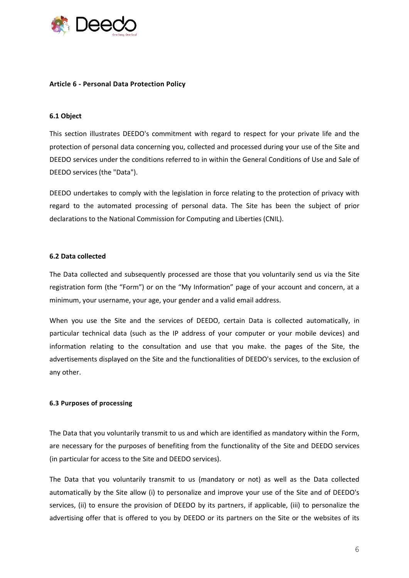

### **Article 6 - Personal Data Protection Policy**

## **6.1 Object**

This section illustrates DEEDO's commitment with regard to respect for your private life and the protection of personal data concerning you, collected and processed during your use of the Site and DEEDO services under the conditions referred to in within the General Conditions of Use and Sale of DEEDO services (the "Data").

DEEDO undertakes to comply with the legislation in force relating to the protection of privacy with regard to the automated processing of personal data. The Site has been the subject of prior declarations to the National Commission for Computing and Liberties (CNIL).

#### **6.2 Data collected**

The Data collected and subsequently processed are those that you voluntarily send us via the Site registration form (the "Form") or on the "My Information" page of your account and concern, at a minimum, your username, your age, your gender and a valid email address.

When you use the Site and the services of DEEDO, certain Data is collected automatically, in particular technical data (such as the IP address of your computer or your mobile devices) and information relating to the consultation and use that you make. the pages of the Site, the advertisements displayed on the Site and the functionalities of DEEDO's services, to the exclusion of any other.

#### **6.3 Purposes of processing**

The Data that you voluntarily transmit to us and which are identified as mandatory within the Form, are necessary for the purposes of benefiting from the functionality of the Site and DEEDO services (in particular for access to the Site and DEEDO services).

The Data that you voluntarily transmit to us (mandatory or not) as well as the Data collected automatically by the Site allow (i) to personalize and improve your use of the Site and of DEEDO's services, (ii) to ensure the provision of DEEDO by its partners, if applicable, (iii) to personalize the advertising offer that is offered to you by DEEDO or its partners on the Site or the websites of its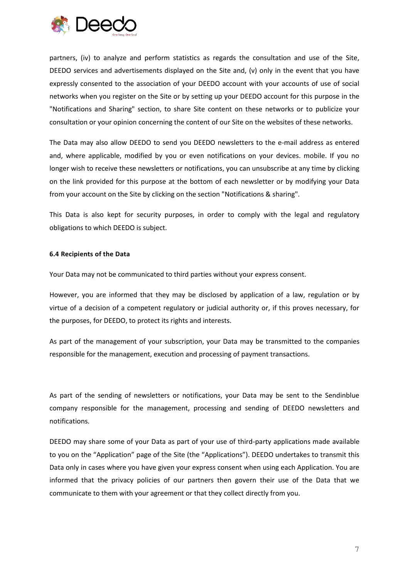

partners, (iv) to analyze and perform statistics as regards the consultation and use of the Site, DEEDO services and advertisements displayed on the Site and, (v) only in the event that you have expressly consented to the association of your DEEDO account with your accounts of use of social networks when you register on the Site or by setting up your DEEDO account for this purpose in the "Notifications and Sharing" section, to share Site content on these networks or to publicize your consultation or your opinion concerning the content of our Site on the websites of these networks.

The Data may also allow DEEDO to send you DEEDO newsletters to the e-mail address as entered and, where applicable, modified by you or even notifications on your devices. mobile. If you no longer wish to receive these newsletters or notifications, you can unsubscribe at any time by clicking on the link provided for this purpose at the bottom of each newsletter or by modifying your Data from your account on the Site by clicking on the section "Notifications & sharing".

This Data is also kept for security purposes, in order to comply with the legal and regulatory obligations to which DEEDO is subject.

### **6.4 Recipients of the Data**

Your Data may not be communicated to third parties without your express consent.

However, you are informed that they may be disclosed by application of a law, regulation or by virtue of a decision of a competent regulatory or judicial authority or, if this proves necessary, for the purposes, for DEEDO, to protect its rights and interests.

As part of the management of your subscription, your Data may be transmitted to the companies responsible for the management, execution and processing of payment transactions.

As part of the sending of newsletters or notifications, your Data may be sent to the Sendinblue company responsible for the management, processing and sending of DEEDO newsletters and notifications.

DEEDO may share some of your Data as part of your use of third-party applications made available to you on the "Application" page of the Site (the "Applications"). DEEDO undertakes to transmit this Data only in cases where you have given your express consent when using each Application. You are informed that the privacy policies of our partners then govern their use of the Data that we communicate to them with your agreement or that they collect directly from you.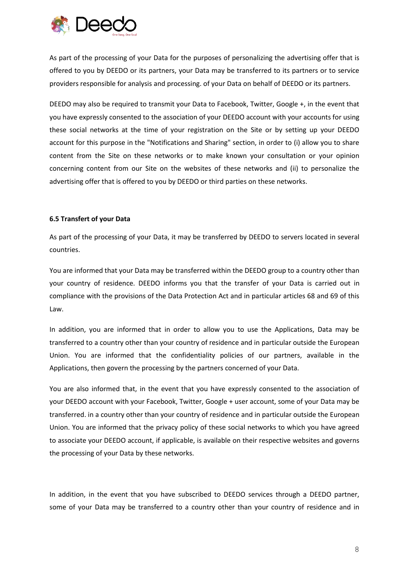

As part of the processing of your Data for the purposes of personalizing the advertising offer that is offered to you by DEEDO or its partners, your Data may be transferred to its partners or to service providers responsible for analysis and processing. of your Data on behalf of DEEDO or its partners.

DEEDO may also be required to transmit your Data to Facebook, Twitter, Google +, in the event that you have expressly consented to the association of your DEEDO account with your accounts for using these social networks at the time of your registration on the Site or by setting up your DEEDO account for this purpose in the "Notifications and Sharing" section, in order to (i) allow you to share content from the Site on these networks or to make known your consultation or your opinion concerning content from our Site on the websites of these networks and (ii) to personalize the advertising offer that is offered to you by DEEDO or third parties on these networks.

## **6.5 Transfert of your Data**

As part of the processing of your Data, it may be transferred by DEEDO to servers located in several countries.

You are informed that your Data may be transferred within the DEEDO group to a country other than your country of residence. DEEDO informs you that the transfer of your Data is carried out in compliance with the provisions of the Data Protection Act and in particular articles 68 and 69 of this Law.

In addition, you are informed that in order to allow you to use the Applications, Data may be transferred to a country other than your country of residence and in particular outside the European Union. You are informed that the confidentiality policies of our partners, available in the Applications, then govern the processing by the partners concerned of your Data.

You are also informed that, in the event that you have expressly consented to the association of your DEEDO account with your Facebook, Twitter, Google + user account, some of your Data may be transferred. in a country other than your country of residence and in particular outside the European Union. You are informed that the privacy policy of these social networks to which you have agreed to associate your DEEDO account, if applicable, is available on their respective websites and governs the processing of your Data by these networks.

In addition, in the event that you have subscribed to DEEDO services through a DEEDO partner, some of your Data may be transferred to a country other than your country of residence and in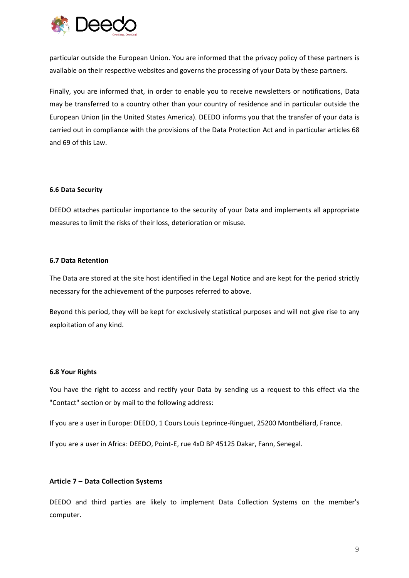

particular outside the European Union. You are informed that the privacy policy of these partners is available on their respective websites and governs the processing of your Data by these partners.

Finally, you are informed that, in order to enable you to receive newsletters or notifications, Data may be transferred to a country other than your country of residence and in particular outside the European Union (in the United States America). DEEDO informs you that the transfer of your data is carried out in compliance with the provisions of the Data Protection Act and in particular articles 68 and 69 of this Law.

### **6.6 Data Security**

DEEDO attaches particular importance to the security of your Data and implements all appropriate measures to limit the risks of their loss, deterioration or misuse.

## **6.7 Data Retention**

The Data are stored at the site host identified in the Legal Notice and are kept for the period strictly necessary for the achievement of the purposes referred to above.

Beyond this period, they will be kept for exclusively statistical purposes and will not give rise to any exploitation of any kind.

## **6.8 Your Rights**

You have the right to access and rectify your Data by sending us a request to this effect via the "Contact" section or by mail to the following address:

If you are a user in Europe: DEEDO, 1 Cours Louis Leprince-Ringuet, 25200 Montbéliard, France.

If you are a user in Africa: DEEDO, Point-E, rue 4xD BP 45125 Dakar, Fann, Senegal.

## **Article 7 – Data Collection Systems**

DEEDO and third parties are likely to implement Data Collection Systems on the member's computer.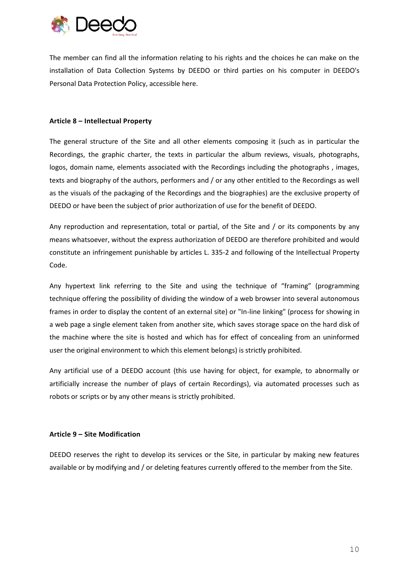

The member can find all the information relating to his rights and the choices he can make on the installation of Data Collection Systems by DEEDO or third parties on his computer in DEEDO's Personal Data Protection Policy, accessible here.

### **Article 8 – Intellectual Property**

The general structure of the Site and all other elements composing it (such as in particular the Recordings, the graphic charter, the texts in particular the album reviews, visuals, photographs, logos, domain name, elements associated with the Recordings including the photographs , images, texts and biography of the authors, performers and / or any other entitled to the Recordings as well as the visuals of the packaging of the Recordings and the biographies) are the exclusive property of DEEDO or have been the subject of prior authorization of use for the benefit of DEEDO.

Any reproduction and representation, total or partial, of the Site and / or its components by any means whatsoever, without the express authorization of DEEDO are therefore prohibited and would constitute an infringement punishable by articles L. 335-2 and following of the Intellectual Property Code.

Any hypertext link referring to the Site and using the technique of "framing" (programming technique offering the possibility of dividing the window of a web browser into several autonomous frames in order to display the content of an external site) or "In-line linking" (process for showing in a web page a single element taken from another site, which saves storage space on the hard disk of the machine where the site is hosted and which has for effect of concealing from an uninformed user the original environment to which this element belongs) is strictly prohibited.

Any artificial use of a DEEDO account (this use having for object, for example, to abnormally or artificially increase the number of plays of certain Recordings), via automated processes such as robots or scripts or by any other means is strictly prohibited.

## **Article 9 – Site Modification**

DEEDO reserves the right to develop its services or the Site, in particular by making new features available or by modifying and / or deleting features currently offered to the member from the Site.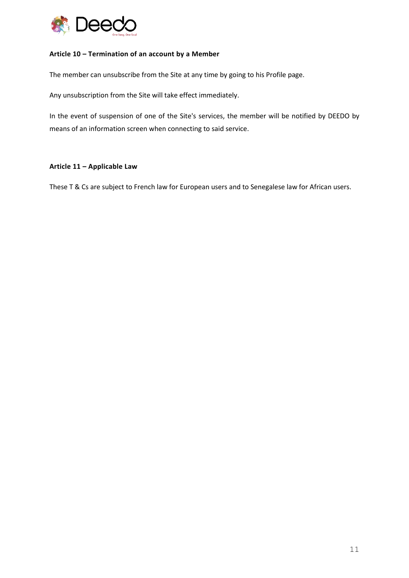

## **Article 10 – Termination of an account by a Member**

The member can unsubscribe from the Site at any time by going to his Profile page.

Any unsubscription from the Site will take effect immediately.

In the event of suspension of one of the Site's services, the member will be notified by DEEDO by means of an information screen when connecting to said service.

## **Article 11 – Applicable Law**

These T & Cs are subject to French law for European users and to Senegalese law for African users.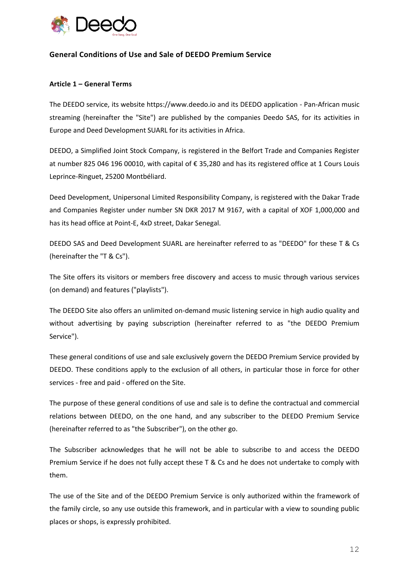

# **General Conditions of Use and Sale of DEEDO Premium Service**

## **Article 1 – General Terms**

The DEEDO service, its website https://www.deedo.io and its DEEDO application - Pan-African music streaming (hereinafter the "Site") are published by the companies Deedo SAS, for its activities in Europe and Deed Development SUARL for its activities in Africa.

DEEDO, a Simplified Joint Stock Company, is registered in the Belfort Trade and Companies Register at number 825 046 196 00010, with capital of € 35,280 and has its registered office at 1 Cours Louis Leprince-Ringuet, 25200 Montbéliard.

Deed Development, Unipersonal Limited Responsibility Company, is registered with the Dakar Trade and Companies Register under number SN DKR 2017 M 9167, with a capital of XOF 1,000,000 and has its head office at Point-E, 4xD street, Dakar Senegal.

DEEDO SAS and Deed Development SUARL are hereinafter referred to as "DEEDO" for these T & Cs (hereinafter the "T & Cs").

The Site offers its visitors or members free discovery and access to music through various services (on demand) and features ("playlists").

The DEEDO Site also offers an unlimited on-demand music listening service in high audio quality and without advertising by paying subscription (hereinafter referred to as "the DEEDO Premium Service").

These general conditions of use and sale exclusively govern the DEEDO Premium Service provided by DEEDO. These conditions apply to the exclusion of all others, in particular those in force for other services - free and paid - offered on the Site.

The purpose of these general conditions of use and sale is to define the contractual and commercial relations between DEEDO, on the one hand, and any subscriber to the DEEDO Premium Service (hereinafter referred to as "the Subscriber"), on the other go.

The Subscriber acknowledges that he will not be able to subscribe to and access the DEEDO Premium Service if he does not fully accept these T & Cs and he does not undertake to comply with them.

The use of the Site and of the DEEDO Premium Service is only authorized within the framework of the family circle, so any use outside this framework, and in particular with a view to sounding public places or shops, is expressly prohibited.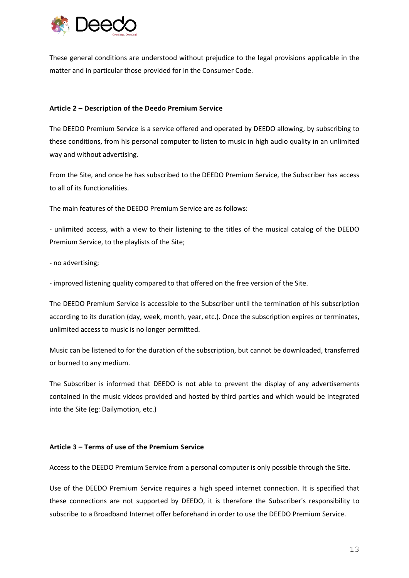

These general conditions are understood without prejudice to the legal provisions applicable in the matter and in particular those provided for in the Consumer Code.

## **Article 2 – Description of the Deedo Premium Service**

The DEEDO Premium Service is a service offered and operated by DEEDO allowing, by subscribing to these conditions, from his personal computer to listen to music in high audio quality in an unlimited way and without advertising.

From the Site, and once he has subscribed to the DEEDO Premium Service, the Subscriber has access to all of its functionalities.

The main features of the DEEDO Premium Service are as follows:

- unlimited access, with a view to their listening to the titles of the musical catalog of the DEEDO Premium Service, to the playlists of the Site;

- no advertising;

- improved listening quality compared to that offered on the free version of the Site.

The DEEDO Premium Service is accessible to the Subscriber until the termination of his subscription according to its duration (day, week, month, year, etc.). Once the subscription expires or terminates, unlimited access to music is no longer permitted.

Music can be listened to for the duration of the subscription, but cannot be downloaded, transferred or burned to any medium.

The Subscriber is informed that DEEDO is not able to prevent the display of any advertisements contained in the music videos provided and hosted by third parties and which would be integrated into the Site (eg: Dailymotion, etc.)

## **Article 3 – Terms of use of the Premium Service**

Access to the DEEDO Premium Service from a personal computer is only possible through the Site.

Use of the DEEDO Premium Service requires a high speed internet connection. It is specified that these connections are not supported by DEEDO, it is therefore the Subscriber's responsibility to subscribe to a Broadband Internet offer beforehand in order to use the DEEDO Premium Service.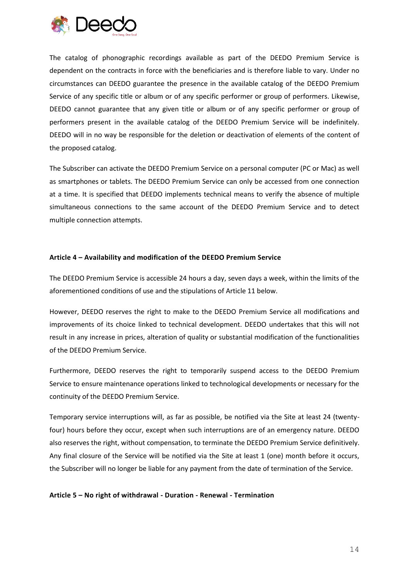

The catalog of phonographic recordings available as part of the DEEDO Premium Service is dependent on the contracts in force with the beneficiaries and is therefore liable to vary. Under no circumstances can DEEDO guarantee the presence in the available catalog of the DEEDO Premium Service of any specific title or album or of any specific performer or group of performers. Likewise, DEEDO cannot guarantee that any given title or album or of any specific performer or group of performers present in the available catalog of the DEEDO Premium Service will be indefinitely. DEEDO will in no way be responsible for the deletion or deactivation of elements of the content of the proposed catalog.

The Subscriber can activate the DEEDO Premium Service on a personal computer (PC or Mac) as well as smartphones or tablets. The DEEDO Premium Service can only be accessed from one connection at a time. It is specified that DEEDO implements technical means to verify the absence of multiple simultaneous connections to the same account of the DEEDO Premium Service and to detect multiple connection attempts.

### **Article 4 – Availability and modification of the DEEDO Premium Service**

The DEEDO Premium Service is accessible 24 hours a day, seven days a week, within the limits of the aforementioned conditions of use and the stipulations of Article 11 below.

However, DEEDO reserves the right to make to the DEEDO Premium Service all modifications and improvements of its choice linked to technical development. DEEDO undertakes that this will not result in any increase in prices, alteration of quality or substantial modification of the functionalities of the DEEDO Premium Service.

Furthermore, DEEDO reserves the right to temporarily suspend access to the DEEDO Premium Service to ensure maintenance operations linked to technological developments or necessary for the continuity of the DEEDO Premium Service.

Temporary service interruptions will, as far as possible, be notified via the Site at least 24 (twentyfour) hours before they occur, except when such interruptions are of an emergency nature. DEEDO also reserves the right, without compensation, to terminate the DEEDO Premium Service definitively. Any final closure of the Service will be notified via the Site at least 1 (one) month before it occurs, the Subscriber will no longer be liable for any payment from the date of termination of the Service.

**Article 5 – No right of withdrawal - Duration - Renewal - Termination**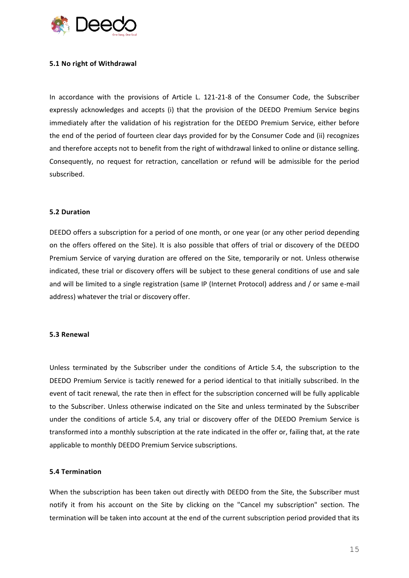

### **5.1 No right of Withdrawal**

In accordance with the provisions of Article L. 121-21-8 of the Consumer Code, the Subscriber expressly acknowledges and accepts (i) that the provision of the DEEDO Premium Service begins immediately after the validation of his registration for the DEEDO Premium Service, either before the end of the period of fourteen clear days provided for by the Consumer Code and (ii) recognizes and therefore accepts not to benefit from the right of withdrawal linked to online or distance selling. Consequently, no request for retraction, cancellation or refund will be admissible for the period subscribed.

#### **5.2 Duration**

DEEDO offers a subscription for a period of one month, or one year (or any other period depending on the offers offered on the Site). It is also possible that offers of trial or discovery of the DEEDO Premium Service of varying duration are offered on the Site, temporarily or not. Unless otherwise indicated, these trial or discovery offers will be subject to these general conditions of use and sale and will be limited to a single registration (same IP (Internet Protocol) address and / or same e-mail address) whatever the trial or discovery offer.

### **5.3 Renewal**

Unless terminated by the Subscriber under the conditions of Article 5.4, the subscription to the DEEDO Premium Service is tacitly renewed for a period identical to that initially subscribed. In the event of tacit renewal, the rate then in effect for the subscription concerned will be fully applicable to the Subscriber. Unless otherwise indicated on the Site and unless terminated by the Subscriber under the conditions of article 5.4, any trial or discovery offer of the DEEDO Premium Service is transformed into a monthly subscription at the rate indicated in the offer or, failing that, at the rate applicable to monthly DEEDO Premium Service subscriptions.

### **5.4 Termination**

When the subscription has been taken out directly with DEEDO from the Site, the Subscriber must notify it from his account on the Site by clicking on the "Cancel my subscription" section. The termination will be taken into account at the end of the current subscription period provided that its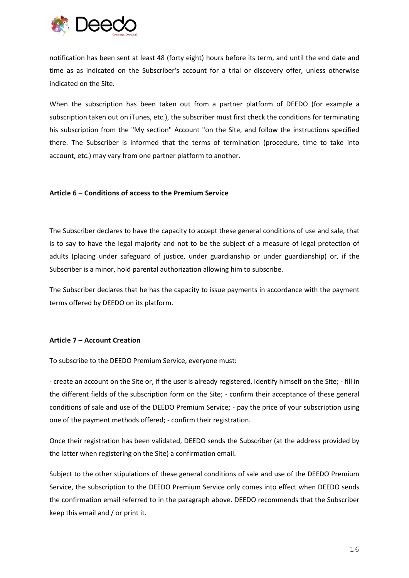

notification has been sent at least 48 (forty eight) hours before its term, and until the end date and time as as indicated on the Subscriber's account for a trial or discovery offer, unless otherwise indicated on the Site.

When the subscription has been taken out from a partner platform of DEEDO (for example a subscription taken out on iTunes, etc.), the subscriber must first check the conditions for terminating his subscription from the "My section" Account "on the Site, and follow the instructions specified there. The Subscriber is informed that the terms of termination (procedure, time to take into account, etc.) may vary from one partner platform to another.

## **Article 6 – Conditions of access to the Premium Service**

The Subscriber declares to have the capacity to accept these general conditions of use and sale, that is to say to have the legal majority and not to be the subject of a measure of legal protection of adults (placing under safeguard of justice, under guardianship or under guardianship) or, if the Subscriber is a minor, hold parental authorization allowing him to subscribe.

The Subscriber declares that he has the capacity to issue payments in accordance with the payment terms offered by DEEDO on its platform.

## **Article 7 – Account Creation**

To subscribe to the DEEDO Premium Service, everyone must:

- create an account on the Site or, if the user is already registered, identify himself on the Site; - fill in the different fields of the subscription form on the Site; - confirm their acceptance of these general conditions of sale and use of the DEEDO Premium Service; - pay the price of your subscription using one of the payment methods offered; - confirm their registration.

Once their registration has been validated, DEEDO sends the Subscriber (at the address provided by the latter when registering on the Site) a confirmation email.

Subject to the other stipulations of these general conditions of sale and use of the DEEDO Premium Service, the subscription to the DEEDO Premium Service only comes into effect when DEEDO sends the confirmation email referred to in the paragraph above. DEEDO recommends that the Subscriber keep this email and / or print it.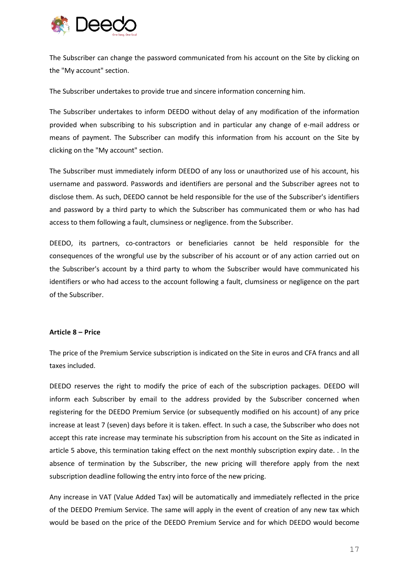

The Subscriber can change the password communicated from his account on the Site by clicking on the "My account" section.

The Subscriber undertakes to provide true and sincere information concerning him.

The Subscriber undertakes to inform DEEDO without delay of any modification of the information provided when subscribing to his subscription and in particular any change of e-mail address or means of payment. The Subscriber can modify this information from his account on the Site by clicking on the "My account" section.

The Subscriber must immediately inform DEEDO of any loss or unauthorized use of his account, his username and password. Passwords and identifiers are personal and the Subscriber agrees not to disclose them. As such, DEEDO cannot be held responsible for the use of the Subscriber's identifiers and password by a third party to which the Subscriber has communicated them or who has had access to them following a fault, clumsiness or negligence. from the Subscriber.

DEEDO, its partners, co-contractors or beneficiaries cannot be held responsible for the consequences of the wrongful use by the subscriber of his account or of any action carried out on the Subscriber's account by a third party to whom the Subscriber would have communicated his identifiers or who had access to the account following a fault, clumsiness or negligence on the part of the Subscriber.

## **Article 8 – Price**

The price of the Premium Service subscription is indicated on the Site in euros and CFA francs and all taxes included.

DEEDO reserves the right to modify the price of each of the subscription packages. DEEDO will inform each Subscriber by email to the address provided by the Subscriber concerned when registering for the DEEDO Premium Service (or subsequently modified on his account) of any price increase at least 7 (seven) days before it is taken. effect. In such a case, the Subscriber who does not accept this rate increase may terminate his subscription from his account on the Site as indicated in article 5 above, this termination taking effect on the next monthly subscription expiry date. . In the absence of termination by the Subscriber, the new pricing will therefore apply from the next subscription deadline following the entry into force of the new pricing.

Any increase in VAT (Value Added Tax) will be automatically and immediately reflected in the price of the DEEDO Premium Service. The same will apply in the event of creation of any new tax which would be based on the price of the DEEDO Premium Service and for which DEEDO would become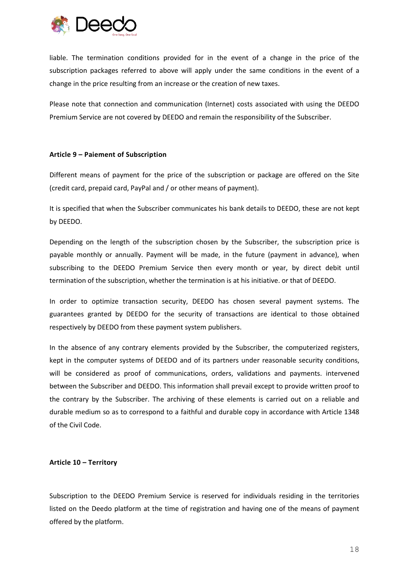

liable. The termination conditions provided for in the event of a change in the price of the subscription packages referred to above will apply under the same conditions in the event of a change in the price resulting from an increase or the creation of new taxes.

Please note that connection and communication (Internet) costs associated with using the DEEDO Premium Service are not covered by DEEDO and remain the responsibility of the Subscriber.

## **Article 9 – Paiement of Subscription**

Different means of payment for the price of the subscription or package are offered on the Site (credit card, prepaid card, PayPal and / or other means of payment).

It is specified that when the Subscriber communicates his bank details to DEEDO, these are not kept by DEEDO.

Depending on the length of the subscription chosen by the Subscriber, the subscription price is payable monthly or annually. Payment will be made, in the future (payment in advance), when subscribing to the DEEDO Premium Service then every month or year, by direct debit until termination of the subscription, whether the termination is at his initiative. or that of DEEDO.

In order to optimize transaction security, DEEDO has chosen several payment systems. The guarantees granted by DEEDO for the security of transactions are identical to those obtained respectively by DEEDO from these payment system publishers.

In the absence of any contrary elements provided by the Subscriber, the computerized registers, kept in the computer systems of DEEDO and of its partners under reasonable security conditions, will be considered as proof of communications, orders, validations and payments. intervened between the Subscriber and DEEDO. This information shall prevail except to provide written proof to the contrary by the Subscriber. The archiving of these elements is carried out on a reliable and durable medium so as to correspond to a faithful and durable copy in accordance with Article 1348 of the Civil Code.

## **Article 10 – Territory**

Subscription to the DEEDO Premium Service is reserved for individuals residing in the territories listed on the Deedo platform at the time of registration and having one of the means of payment offered by the platform.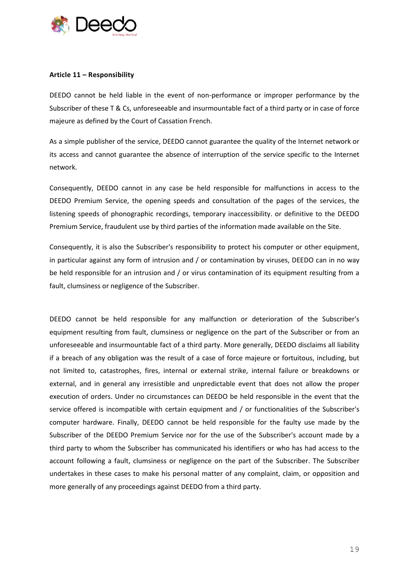

## **Article 11 – Responsibility**

DEEDO cannot be held liable in the event of non-performance or improper performance by the Subscriber of these T & Cs, unforeseeable and insurmountable fact of a third party or in case of force majeure as defined by the Court of Cassation French.

As a simple publisher of the service, DEEDO cannot guarantee the quality of the Internet network or its access and cannot guarantee the absence of interruption of the service specific to the Internet network.

Consequently, DEEDO cannot in any case be held responsible for malfunctions in access to the DEEDO Premium Service, the opening speeds and consultation of the pages of the services, the listening speeds of phonographic recordings, temporary inaccessibility. or definitive to the DEEDO Premium Service, fraudulent use by third parties of the information made available on the Site.

Consequently, it is also the Subscriber's responsibility to protect his computer or other equipment, in particular against any form of intrusion and / or contamination by viruses, DEEDO can in no way be held responsible for an intrusion and / or virus contamination of its equipment resulting from a fault, clumsiness or negligence of the Subscriber.

DEEDO cannot be held responsible for any malfunction or deterioration of the Subscriber's equipment resulting from fault, clumsiness or negligence on the part of the Subscriber or from an unforeseeable and insurmountable fact of a third party. More generally, DEEDO disclaims all liability if a breach of any obligation was the result of a case of force majeure or fortuitous, including, but not limited to, catastrophes, fires, internal or external strike, internal failure or breakdowns or external, and in general any irresistible and unpredictable event that does not allow the proper execution of orders. Under no circumstances can DEEDO be held responsible in the event that the service offered is incompatible with certain equipment and / or functionalities of the Subscriber's computer hardware. Finally, DEEDO cannot be held responsible for the faulty use made by the Subscriber of the DEEDO Premium Service nor for the use of the Subscriber's account made by a third party to whom the Subscriber has communicated his identifiers or who has had access to the account following a fault, clumsiness or negligence on the part of the Subscriber. The Subscriber undertakes in these cases to make his personal matter of any complaint, claim, or opposition and more generally of any proceedings against DEEDO from a third party.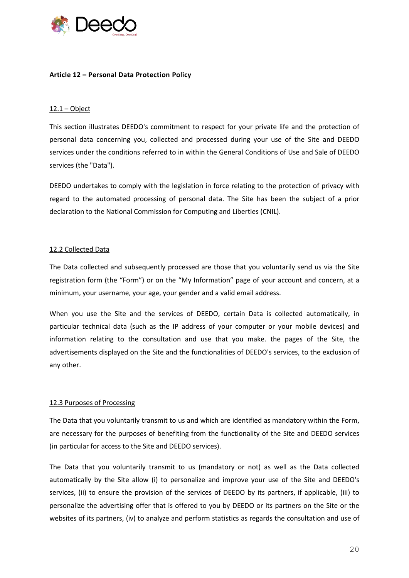

## **Article 12 – Personal Data Protection Policy**

## $12.1 - Object$

This section illustrates DEEDO's commitment to respect for your private life and the protection of personal data concerning you, collected and processed during your use of the Site and DEEDO services under the conditions referred to in within the General Conditions of Use and Sale of DEEDO services (the "Data").

DEEDO undertakes to comply with the legislation in force relating to the protection of privacy with regard to the automated processing of personal data. The Site has been the subject of a prior declaration to the National Commission for Computing and Liberties (CNIL).

### 12.2 Collected Data

The Data collected and subsequently processed are those that you voluntarily send us via the Site registration form (the "Form") or on the "My Information" page of your account and concern, at a minimum, your username, your age, your gender and a valid email address.

When you use the Site and the services of DEEDO, certain Data is collected automatically, in particular technical data (such as the IP address of your computer or your mobile devices) and information relating to the consultation and use that you make. the pages of the Site, the advertisements displayed on the Site and the functionalities of DEEDO's services, to the exclusion of any other.

## 12.3 Purposes of Processing

The Data that you voluntarily transmit to us and which are identified as mandatory within the Form, are necessary for the purposes of benefiting from the functionality of the Site and DEEDO services (in particular for access to the Site and DEEDO services).

The Data that you voluntarily transmit to us (mandatory or not) as well as the Data collected automatically by the Site allow (i) to personalize and improve your use of the Site and DEEDO's services, (ii) to ensure the provision of the services of DEEDO by its partners, if applicable, (iii) to personalize the advertising offer that is offered to you by DEEDO or its partners on the Site or the websites of its partners, (iv) to analyze and perform statistics as regards the consultation and use of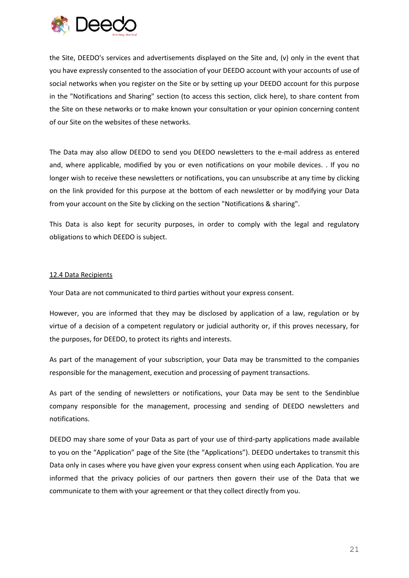

the Site, DEEDO's services and advertisements displayed on the Site and, (v) only in the event that you have expressly consented to the association of your DEEDO account with your accounts of use of social networks when you register on the Site or by setting up your DEEDO account for this purpose in the "Notifications and Sharing" section (to access this section, click here), to share content from the Site on these networks or to make known your consultation or your opinion concerning content of our Site on the websites of these networks.

The Data may also allow DEEDO to send you DEEDO newsletters to the e-mail address as entered and, where applicable, modified by you or even notifications on your mobile devices. . If you no longer wish to receive these newsletters or notifications, you can unsubscribe at any time by clicking on the link provided for this purpose at the bottom of each newsletter or by modifying your Data from your account on the Site by clicking on the section "Notifications & sharing".

This Data is also kept for security purposes, in order to comply with the legal and regulatory obligations to which DEEDO is subject.

## 12.4 Data Recipients

Your Data are not communicated to third parties without your express consent.

However, you are informed that they may be disclosed by application of a law, regulation or by virtue of a decision of a competent regulatory or judicial authority or, if this proves necessary, for the purposes, for DEEDO, to protect its rights and interests.

As part of the management of your subscription, your Data may be transmitted to the companies responsible for the management, execution and processing of payment transactions.

As part of the sending of newsletters or notifications, your Data may be sent to the Sendinblue company responsible for the management, processing and sending of DEEDO newsletters and notifications.

DEEDO may share some of your Data as part of your use of third-party applications made available to you on the "Application" page of the Site (the "Applications"). DEEDO undertakes to transmit this Data only in cases where you have given your express consent when using each Application. You are informed that the privacy policies of our partners then govern their use of the Data that we communicate to them with your agreement or that they collect directly from you.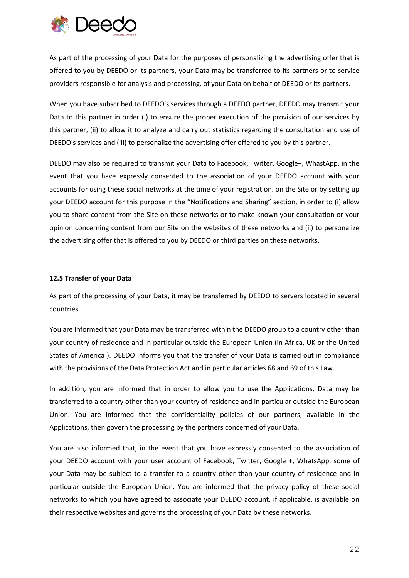

As part of the processing of your Data for the purposes of personalizing the advertising offer that is offered to you by DEEDO or its partners, your Data may be transferred to its partners or to service providers responsible for analysis and processing. of your Data on behalf of DEEDO or its partners.

When you have subscribed to DEEDO's services through a DEEDO partner, DEEDO may transmit your Data to this partner in order (i) to ensure the proper execution of the provision of our services by this partner, (ii) to allow it to analyze and carry out statistics regarding the consultation and use of DEEDO's services and (iii) to personalize the advertising offer offered to you by this partner.

DEEDO may also be required to transmit your Data to Facebook, Twitter, Google+, WhastApp, in the event that you have expressly consented to the association of your DEEDO account with your accounts for using these social networks at the time of your registration. on the Site or by setting up your DEEDO account for this purpose in the "Notifications and Sharing" section, in order to (i) allow you to share content from the Site on these networks or to make known your consultation or your opinion concerning content from our Site on the websites of these networks and (ii) to personalize the advertising offer that is offered to you by DEEDO or third parties on these networks.

## **12.5 Transfer of your Data**

As part of the processing of your Data, it may be transferred by DEEDO to servers located in several countries.

You are informed that your Data may be transferred within the DEEDO group to a country other than your country of residence and in particular outside the European Union (in Africa, UK or the United States of America ). DEEDO informs you that the transfer of your Data is carried out in compliance with the provisions of the Data Protection Act and in particular articles 68 and 69 of this Law.

In addition, you are informed that in order to allow you to use the Applications, Data may be transferred to a country other than your country of residence and in particular outside the European Union. You are informed that the confidentiality policies of our partners, available in the Applications, then govern the processing by the partners concerned of your Data.

You are also informed that, in the event that you have expressly consented to the association of your DEEDO account with your user account of Facebook, Twitter, Google +, WhatsApp, some of your Data may be subject to a transfer to a country other than your country of residence and in particular outside the European Union. You are informed that the privacy policy of these social networks to which you have agreed to associate your DEEDO account, if applicable, is available on their respective websites and governs the processing of your Data by these networks.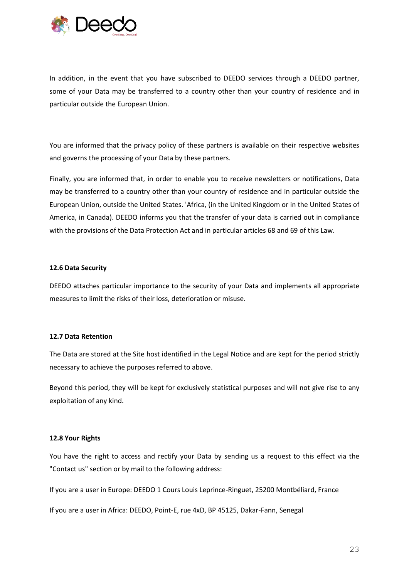

In addition, in the event that you have subscribed to DEEDO services through a DEEDO partner, some of your Data may be transferred to a country other than your country of residence and in particular outside the European Union.

You are informed that the privacy policy of these partners is available on their respective websites and governs the processing of your Data by these partners.

Finally, you are informed that, in order to enable you to receive newsletters or notifications, Data may be transferred to a country other than your country of residence and in particular outside the European Union, outside the United States. 'Africa, (in the United Kingdom or in the United States of America, in Canada). DEEDO informs you that the transfer of your data is carried out in compliance with the provisions of the Data Protection Act and in particular articles 68 and 69 of this Law.

### **12.6 Data Security**

DEEDO attaches particular importance to the security of your Data and implements all appropriate measures to limit the risks of their loss, deterioration or misuse.

## **12.7 Data Retention**

The Data are stored at the Site host identified in the Legal Notice and are kept for the period strictly necessary to achieve the purposes referred to above.

Beyond this period, they will be kept for exclusively statistical purposes and will not give rise to any exploitation of any kind.

## **12.8 Your Rights**

You have the right to access and rectify your Data by sending us a request to this effect via the "Contact us" section or by mail to the following address:

If you are a user in Europe: DEEDO 1 Cours Louis Leprince-Ringuet, 25200 Montbéliard, France

If you are a user in Africa: DEEDO, Point-E, rue 4xD, BP 45125, Dakar-Fann, Senegal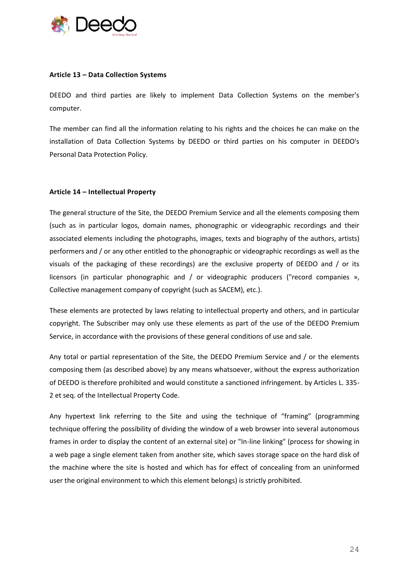

## **Article 13 – Data Collection Systems**

DEEDO and third parties are likely to implement Data Collection Systems on the member's computer.

The member can find all the information relating to his rights and the choices he can make on the installation of Data Collection Systems by DEEDO or third parties on his computer in DEEDO's Personal Data Protection Policy.

## **Article 14 – Intellectual Property**

The general structure of the Site, the DEEDO Premium Service and all the elements composing them (such as in particular logos, domain names, phonographic or videographic recordings and their associated elements including the photographs, images, texts and biography of the authors, artists) performers and / or any other entitled to the phonographic or videographic recordings as well as the visuals of the packaging of these recordings) are the exclusive property of DEEDO and / or its licensors (in particular phonographic and / or videographic producers ("record companies », Collective management company of copyright (such as SACEM), etc.).

These elements are protected by laws relating to intellectual property and others, and in particular copyright. The Subscriber may only use these elements as part of the use of the DEEDO Premium Service, in accordance with the provisions of these general conditions of use and sale.

Any total or partial representation of the Site, the DEEDO Premium Service and / or the elements composing them (as described above) by any means whatsoever, without the express authorization of DEEDO is therefore prohibited and would constitute a sanctioned infringement. by Articles L. 335- 2 et seq. of the Intellectual Property Code.

Any hypertext link referring to the Site and using the technique of "framing" (programming technique offering the possibility of dividing the window of a web browser into several autonomous frames in order to display the content of an external site) or "In-line linking" (process for showing in a web page a single element taken from another site, which saves storage space on the hard disk of the machine where the site is hosted and which has for effect of concealing from an uninformed user the original environment to which this element belongs) is strictly prohibited.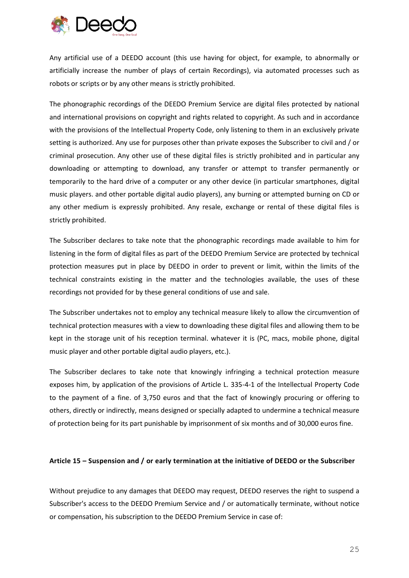

Any artificial use of a DEEDO account (this use having for object, for example, to abnormally or artificially increase the number of plays of certain Recordings), via automated processes such as robots or scripts or by any other means is strictly prohibited.

The phonographic recordings of the DEEDO Premium Service are digital files protected by national and international provisions on copyright and rights related to copyright. As such and in accordance with the provisions of the Intellectual Property Code, only listening to them in an exclusively private setting is authorized. Any use for purposes other than private exposes the Subscriber to civil and / or criminal prosecution. Any other use of these digital files is strictly prohibited and in particular any downloading or attempting to download, any transfer or attempt to transfer permanently or temporarily to the hard drive of a computer or any other device (in particular smartphones, digital music players. and other portable digital audio players), any burning or attempted burning on CD or any other medium is expressly prohibited. Any resale, exchange or rental of these digital files is strictly prohibited.

The Subscriber declares to take note that the phonographic recordings made available to him for listening in the form of digital files as part of the DEEDO Premium Service are protected by technical protection measures put in place by DEEDO in order to prevent or limit, within the limits of the technical constraints existing in the matter and the technologies available, the uses of these recordings not provided for by these general conditions of use and sale.

The Subscriber undertakes not to employ any technical measure likely to allow the circumvention of technical protection measures with a view to downloading these digital files and allowing them to be kept in the storage unit of his reception terminal. whatever it is (PC, macs, mobile phone, digital music player and other portable digital audio players, etc.).

The Subscriber declares to take note that knowingly infringing a technical protection measure exposes him, by application of the provisions of Article L. 335-4-1 of the Intellectual Property Code to the payment of a fine. of 3,750 euros and that the fact of knowingly procuring or offering to others, directly or indirectly, means designed or specially adapted to undermine a technical measure of protection being for its part punishable by imprisonment of six months and of 30,000 euros fine.

## **Article 15 – Suspension and / or early termination at the initiative of DEEDO or the Subscriber**

Without prejudice to any damages that DEEDO may request, DEEDO reserves the right to suspend a Subscriber's access to the DEEDO Premium Service and / or automatically terminate, without notice or compensation, his subscription to the DEEDO Premium Service in case of: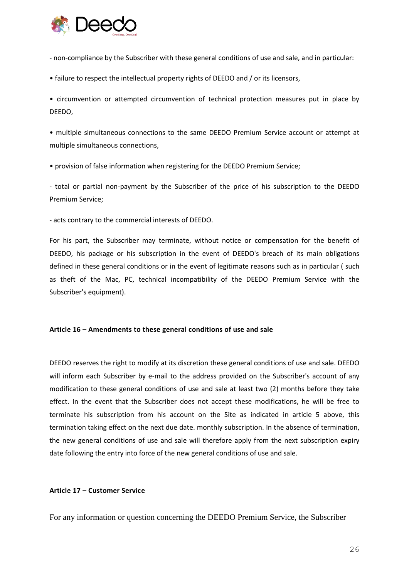

- non-compliance by the Subscriber with these general conditions of use and sale, and in particular:

• failure to respect the intellectual property rights of DEEDO and / or its licensors,

• circumvention or attempted circumvention of technical protection measures put in place by DEEDO,

• multiple simultaneous connections to the same DEEDO Premium Service account or attempt at multiple simultaneous connections,

• provision of false information when registering for the DEEDO Premium Service;

- total or partial non-payment by the Subscriber of the price of his subscription to the DEEDO Premium Service;

- acts contrary to the commercial interests of DEEDO.

For his part, the Subscriber may terminate, without notice or compensation for the benefit of DEEDO, his package or his subscription in the event of DEEDO's breach of its main obligations defined in these general conditions or in the event of legitimate reasons such as in particular ( such as theft of the Mac, PC, technical incompatibility of the DEEDO Premium Service with the Subscriber's equipment).

## **Article 16 – Amendments to these general conditions of use and sale**

DEEDO reserves the right to modify at its discretion these general conditions of use and sale. DEEDO will inform each Subscriber by e-mail to the address provided on the Subscriber's account of any modification to these general conditions of use and sale at least two (2) months before they take effect. In the event that the Subscriber does not accept these modifications, he will be free to terminate his subscription from his account on the Site as indicated in article 5 above, this termination taking effect on the next due date. monthly subscription. In the absence of termination, the new general conditions of use and sale will therefore apply from the next subscription expiry date following the entry into force of the new general conditions of use and sale.

## **Article 17 – Customer Service**

For any information or question concerning the DEEDO Premium Service, the Subscriber